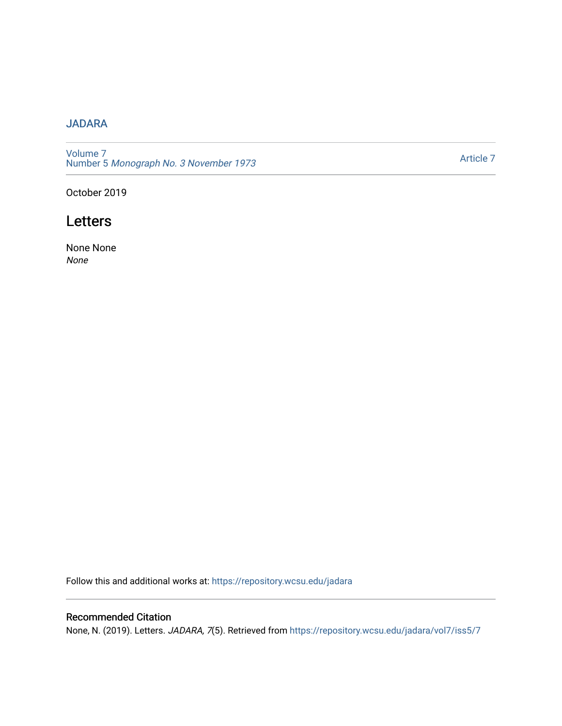## [JADARA](https://repository.wcsu.edu/jadara)

[Volume 7](https://repository.wcsu.edu/jadara/vol7)  Number 5 [Monograph No. 3 November 1973](https://repository.wcsu.edu/jadara/vol7/iss5)

[Article 7](https://repository.wcsu.edu/jadara/vol7/iss5/7) 

October 2019

## **Letters**

None None None

Follow this and additional works at: [https://repository.wcsu.edu/jadara](https://repository.wcsu.edu/jadara?utm_source=repository.wcsu.edu%2Fjadara%2Fvol7%2Fiss5%2F7&utm_medium=PDF&utm_campaign=PDFCoverPages)

## Recommended Citation

None, N. (2019). Letters. JADARA, 7(5). Retrieved from [https://repository.wcsu.edu/jadara/vol7/iss5/7](https://repository.wcsu.edu/jadara/vol7/iss5/7?utm_source=repository.wcsu.edu%2Fjadara%2Fvol7%2Fiss5%2F7&utm_medium=PDF&utm_campaign=PDFCoverPages)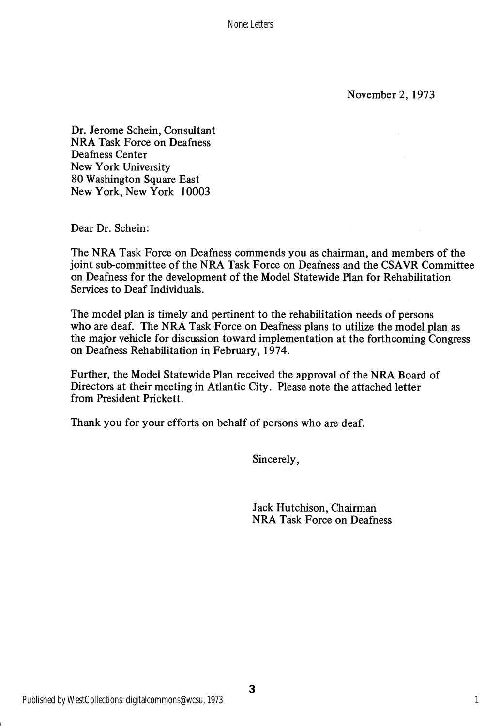None: Letters

November 2, 1973

Dr. Jerome Schein, Consultant NRA Task Force on Deafness Deafness Center New York University 80 Washington Square East New York, New York 10003

Dear Dr. Schein:

The NRA Task Force on Deafness commends you as chairman, and members of the joint sub-committee of the NRA Task Force on Deafness and the CSAVR Committee on Deafness for the development of the Model Statewide Plan for Rehabilitation Services to Deaf Individuals.

The model plan is timely and pertinent to the rehabilitation needs of persons who are deaf. The NRA Task Force on Deafness plans to utilize the model plan as the major vehicle for discussion toward implementation at the forthcoming Congress on Deafness Rehabilitation in February, 1974.

Further, the Model Statewide Plan received the approval of the NRA Board of Directors at their meeting in Atlantic City. Please note the attached letter from President Prickett.

Thank you for your efforts on behalf of persons who are deaf.

Sincerely,

Jack Hutchison, Chairman NRA Task Force on Deafness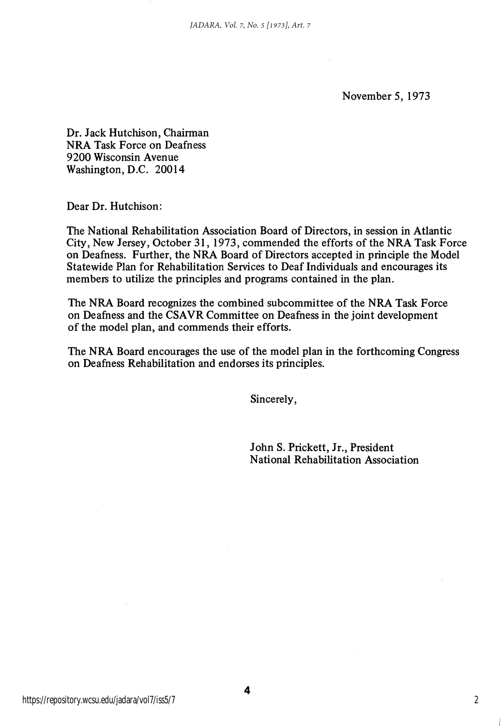November 5, 1973

Dr. Jack Hutchison, Chairman NRA Task Force on Deafness 9200 Wisconsin Avenue Washington, D.C. 20014

Dear Dr. Hutchison:

The National Rehabilitation Association Board of Directors, in session in Atlantic City, New Jersey, October 31, 1973, commended the efforts of the NRA Task Force on Deafness. Further, the NRA Board of Directors accepted in principle the Model Statewide Plan for Rehabilitation Services to Deaf Individuals and encourages its members to utilize the principles and programs contained in the plan.

The NRA Board recognizes the combined subcommittee of the NRA Task Force on Deafness and the CSAVR Committee on Deafness in the joint development of the model plan, and commends their efforts.

The NRA Board encourages the use of the model plan in the forthcoming Congress on Deafness Rehabilitation and endorses its principles.

Sincerely,

John S. Prickett, Jr., President National Rehabilitation Association

2